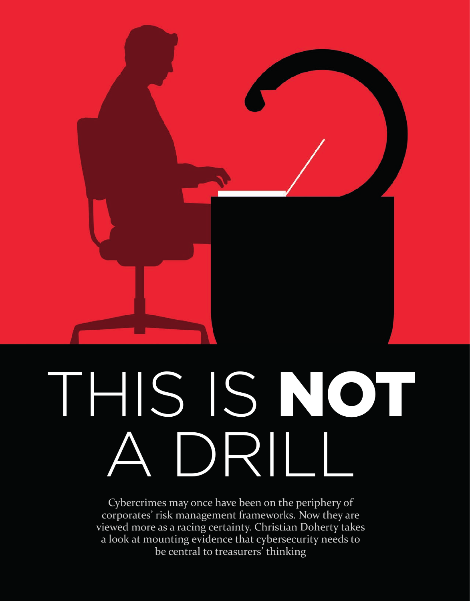

# THIS IS NOT A DRILL

Cybercrimes may once have been on the periphery of corporates' risk management frameworks. Now they are viewed more as a racing certainty. Christian Doherty takes a look at mounting evidence that cybersecurity needs to be central to treasurers<sup>'</sup> thinking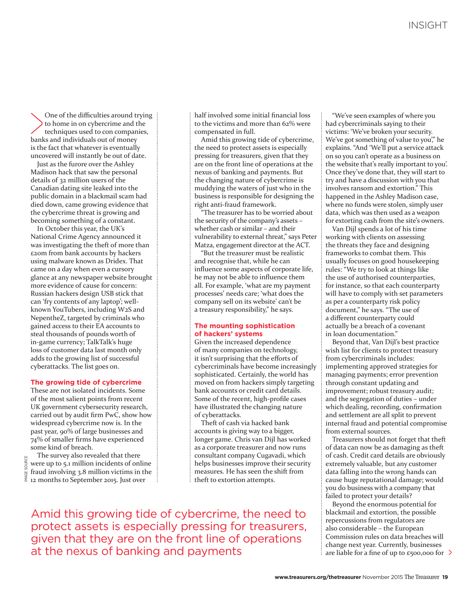One of the difficulties around trying to home in on cybercrime and the techniques used to con companies, banks and individuals out of money is the fact that whatever is eventually uncovered will instantly be out of date.

Just as the furore over the Ashley Madison hack that saw the personal details of 32 million users of the Canadian dating site leaked into the public domain in a blackmail scam had died down, came growing evidence that the cybercrime threat is growing and becoming something of a constant.

In October this year, the UK's National Crime Agency announced it was investigating the theft of more than £20m from bank accounts by hackers using malware known as Dridex. That came on a day when even a cursory glance at any newspaper website brought more evidence of cause for concern: Russian hackers design USB stick that can 'fry contents of any laptop'; wellknown YouTubers, including W2S and NepentheZ, targeted by criminals who gained access to their EA accounts to steal thousands of pounds worth of in-game currency; TalkTalk's huge loss of customer data last month only adds to the growing list of successful cyberattacks. The list goes on.

### **The growing tide of cybercrime**

These are not isolated incidents. Some of the most salient points from recent UK government cybersecurity research, carried out by audit firm PwC, show how widespread cybercrime now is. In the past year, 90% of large businesses and 74% of smaller firms have experienced some kind of breach.

IMAGE SOURCEIMAGE SOURCE

The survey also revealed that there were up to 5.1 million incidents of online fraud involving 3.8 million victims in the 12 months to September 2015. Just over

half involved some initial financial loss to the victims and more than 62% were compensated in full.

Amid this growing tide of cybercrime, the need to protect assets is especially pressing for treasurers, given that they are on the front line of operations at the nexus of banking and payments. But the changing nature of cybercrime is muddying the waters of just who in the business is responsible for designing the right anti-fraud framework.

"The treasurer has to be worried about the security of the company's assets – whether cash or similar – and their vulnerability to external threat," says Peter Matza, engagement director at the ACT.

"But the treasurer must be realistic and recognise that, while he can influence some aspects of corporate life, he may not be able to influence them all. For example, 'what are my payment processes' needs care; 'what does the company sell on its website' can't be a treasury responsibility," he says.

#### **The mounting sophistication of hackers' systems**

Given the increased dependence of many companies on technology, it isn't surprising that the efforts of cybercriminals have become increasingly sophisticated. Certainly, the world has moved on from hackers simply targeting bank accounts or credit card details. Some of the recent, high-profile cases have illustrated the changing nature of cyberattacks.

Theft of cash via hacked bank accounts is giving way to a bigger, longer game. Chris van Dijl has worked as a corporate treasurer and now runs consultant company Cugavadi, which helps businesses improve their security measures. He has seen the shift from theft to extortion attempts.

Amid this growing tide of cybercrime, the need to protect assets is especially pressing for treasurers, given that they are on the front line of operations at the nexus of banking and payments

"We've seen examples of where you had cybercriminals saying to their victims: 'We've broken your security. We've got something of value to you," he explains. "And 'We'll put a service attack on so you can't operate as a business on the website that's really important to you'. Once they've done that, they will start to try and have a discussion with you that involves ransom and extortion." This happened in the Ashley Madison case, where no funds were stolen, simply user data, which was then used as a weapon for extorting cash from the site's owners.

Van Dijl spends a lot of his time working with clients on assessing the threats they face and designing frameworks to combat them. This usually focuses on good housekeeping rules: "We try to look at things like the use of authorised counterparties, for instance, so that each counterparty will have to comply with set parameters as per a counterparty risk policy document," he says. "The use of a different counterparty could actually be a breach of a covenant in loan documentation."

Beyond that, Van Dijl's best practice wish list for clients to protect treasury from cybercriminals includes: implementing approved strategies for managing payments; error prevention through constant updating and improvement; robust treasury audit; and the segregation of duties – under which dealing, recording, confirmation and settlement are all split to prevent internal fraud and potential compromise from external sources.

Treasurers should not forget that theft of data can now be as damaging as theft of cash. Credit card details are obviously extremely valuable, but any customer data falling into the wrong hands can cause huge reputational damage; would you do business with a company that failed to protect your details?

Beyond the enormous potential for blackmail and extortion, the possible repercussions from regulators are also considerable – the European Commission rules on data breaches will change next year. Currently, businesses are liable for a fine of up to  $\epsilon$ 500,000 for  $\geq$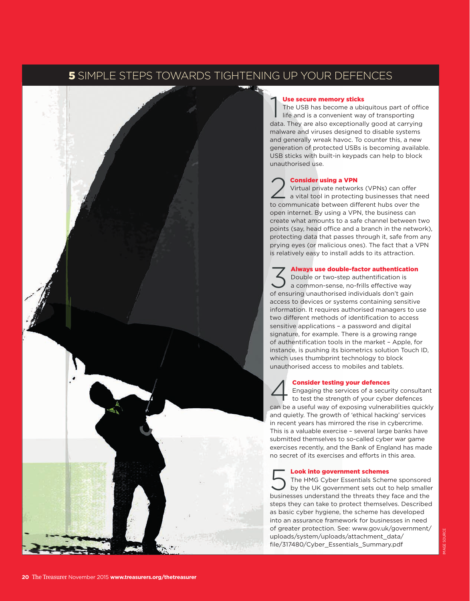



# Use secure memory sticks

**Use secure memory sticks**<br>The USB has become a ubiquitous part of office<br>life and is a convenient way of transporting<br>data. They are also exceptionally good at carrying The USB has become a ubiquitous part of office life and is a convenient way of transporting malware and viruses designed to disable systems and generally wreak havoc. To counter this, a new generation of protected USBs is becoming available. USB sticks with built-in keypads can help to block unauthorised use.

### **Consider using a VPN**

Virtual private networks (VPNs) can offer a vital tool in protecting businesses that need to communicate between different hubs over the open internet. By using a VPN, the business can create what amounts to a safe channel between two points (say, head office and a branch in the network), protecting data that passes through it, safe from any prying eyes (or malicious ones). The fact that a VPN is relatively easy to install adds to its attraction.

Always use double-factor authentication<br>Double or two-step authentification is<br>a common-sense, no-frills effective way<br>of ensuring unauthorised individuals don't gain Always use double-factor authentication Double or two-step authentification is a common-sense, no-frills effective way access to devices or systems containing sensitive information. It requires authorised managers to use two different methods of identification to access sensitive applications – a password and digital signature, for example. There is a growing range of authentification tools in the market – Apple, for instance, is pushing its biometrics solution Touch ID, which uses thumbprint technology to block unauthorised access to mobiles and tablets.

**4 Consider testing your defences**<br>Engaging the services of a security consult<br>to test the strength of your cyber defences Engaging the services of a security consultant can be a useful way of exposing vulnerabilities quickly and quietly. The growth of 'ethical hacking' services in recent years has mirrored the rise in cybercrime. This is a valuable exercise – several large banks have submitted themselves to so-called cyber war game exercises recently, and the Bank of England has made no secret of its exercises and efforts in this area.

### Look into government schemes

The HMG Cyber Essentials Scheme sponsored by the UK government sets out to help smaller businesses understand the threats they face and the steps they can take to protect themselves. Described as basic cyber hygiene, the scheme has developed into an assurance framework for businesses in need of greater protection. See: [www.gov.uk/government/](https://www.gov.uk/government/uploads/system/uploads/attachment_data/file/317480/Cyber_Essentials_Summary.pdf) [uploads/system/uploads/attachment\\_data/](https://www.gov.uk/government/uploads/system/uploads/attachment_data/file/317480/Cyber_Essentials_Summary.pdf) [file/317480/Cyber\\_Essentials\\_Summary.pdf](https://www.gov.uk/government/uploads/system/uploads/attachment_data/file/317480/Cyber_Essentials_Summary.pdf)